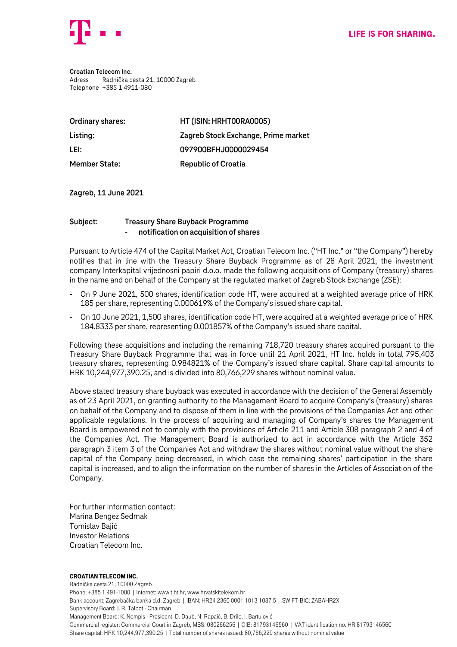

**Croatian Telecom Inc.** Adress Radnička cesta 21, 10000 Zagreb Telephone +385 1 4911-080

| Ordinary shares:     | HT (ISIN: HRHT00RA0005)             |
|----------------------|-------------------------------------|
| Listing:             | Zagreb Stock Exchange, Prime market |
| LEI:                 | 097900BFHJ0000029454                |
| <b>Member State:</b> | <b>Republic of Croatia</b>          |

**Zagreb, 11 June 2021**

## **Subject: Treasury Share Buyback Programme** - **notification on acquisition of shares**

Pursuant to Article 474 of the Capital Market Act, Croatian Telecom Inc. ("HT Inc." or "the Company") hereby notifies that in line with the Treasury Share Buyback Programme as of 28 April 2021, the investment company Interkapital vrijednosni papiri d.o.o. made the following acquisitions of Company (treasury) shares in the name and on behalf of the Company at the regulated market of Zagreb Stock Exchange (ZSE):

- On 9 June 2021, 500 shares, identification code HT, were acquired at a weighted average price of HRK 185 per share, representing 0.000619% of the Company's issued share capital.
- On 10 June 2021, 1,500 shares, identification code HT, were acquired at a weighted average price of HRK 184.8333 per share, representing 0.001857% of the Company's issued share capital.

Following these acquisitions and including the remaining 718,720 treasury shares acquired pursuant to the Treasury Share Buyback Programme that was in force until 21 April 2021, HT Inc. holds in total 795,403 treasury shares, representing 0.984821% of the Company's issued share capital. Share capital amounts to HRK 10,244,977,390.25, and is divided into 80,766,229 shares without nominal value.

Above stated treasury share buyback was executed in accordance with the decision of the General Assembly as of 23 April 2021, on granting authority to the Management Board to acquire Company's (treasury) shares on behalf of the Company and to dispose of them in line with the provisions of the Companies Act and other applicable regulations. In the process of acquiring and managing of Company's shares the Management Board is empowered not to comply with the provisions of Article 211 and Article 308 paragraph 2 and 4 of the Companies Act. The Management Board is authorized to act in accordance with the Article 352 paragraph 3 item 3 of the Companies Act and withdraw the shares without nominal value without the share capital of the Company being decreased, in which case the remaining shares' participation in the share capital is increased, and to align the information on the number of shares in the Articles of Association of the Company.

For further information contact: Marina Bengez Sedmak Tomislav Bajić Investor Relations Croatian Telecom Inc.

## Croatian Telecom Inc.

Radnička cesta 21, 10000 Zagreb Phone: +385 1 491-1000 | Internet: www.t.ht.hr, www.hrvatskitelekom.hr Bank account: Zagrebačka banka d.d. Zagreb | IBAN: HR24 2360 0001 1013 1087 5 | SWIFT-BIC: ZABAHR2X Supervisory Board: J. R. Talbot - Chairman Management Board: K. Nempis - President, D. Daub, N. Rapaić, B. Drilo, I. Bartulović Commercial register: Commercial Court in Zagreb, MBS: 080266256 | OIB: 81793146560 | VAT identification no. HR 81793146560 Share capital: HRK 10,244,977,390.25 | Total number of shares issued: 80,766,229 shares without nominal value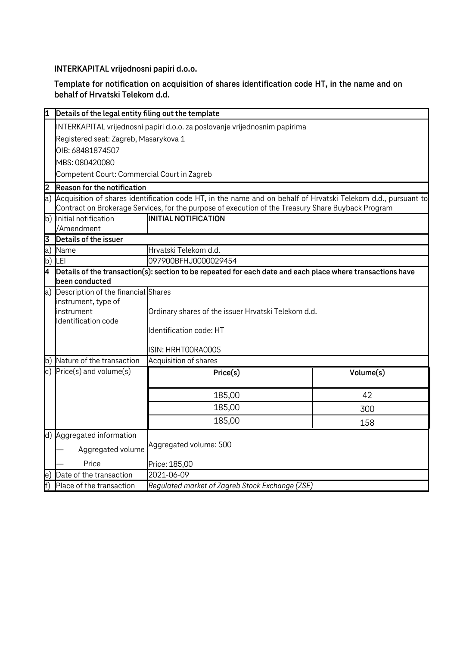**INTERKAPITAL vrijednosni papiri d.o.o.**

**Template for notification on acquisition of shares identification code HT, in the name and on behalf of Hrvatski Telekom d.d.**

|                | Details of the legal entity filing out the template                                                              |                                                                                                            |           |  |  |
|----------------|------------------------------------------------------------------------------------------------------------------|------------------------------------------------------------------------------------------------------------|-----------|--|--|
|                | INTERKAPITAL vrijednosni papiri d.o.o. za poslovanje vrijednosnim papirima                                       |                                                                                                            |           |  |  |
|                | Registered seat: Zagreb, Masarykova 1                                                                            |                                                                                                            |           |  |  |
|                | OIB: 68481874507                                                                                                 |                                                                                                            |           |  |  |
|                | MBS: 080420080                                                                                                   |                                                                                                            |           |  |  |
|                | Competent Court: Commercial Court in Zagreb                                                                      |                                                                                                            |           |  |  |
| 2              | <b>Reason for the notification</b>                                                                               |                                                                                                            |           |  |  |
|                | a) Acquisition of shares identification code HT, in the name and on behalf of Hrvatski Telekom d.d., pursuant to |                                                                                                            |           |  |  |
|                | Contract on Brokerage Services, for the purpose of execution of the Treasury Share Buyback Program               |                                                                                                            |           |  |  |
|                | b) Initial notification                                                                                          | <b>INITIAL NOTIFICATION</b>                                                                                |           |  |  |
|                | /Amendment                                                                                                       |                                                                                                            |           |  |  |
| 3              | Details of the issuer                                                                                            |                                                                                                            |           |  |  |
| a)             | Name                                                                                                             | Hrvatski Telekom d.d.                                                                                      |           |  |  |
|                | b) LEI                                                                                                           | 097900BFHJ0000029454                                                                                       |           |  |  |
| I4             | been conducted                                                                                                   | Details of the transaction(s): section to be repeated for each date and each place where transactions have |           |  |  |
|                | a) Description of the financial Shares                                                                           |                                                                                                            |           |  |  |
|                | instrument, type of                                                                                              |                                                                                                            |           |  |  |
|                | instrument                                                                                                       | Ordinary shares of the issuer Hrvatski Telekom d.d.                                                        |           |  |  |
|                | Identification code                                                                                              |                                                                                                            |           |  |  |
|                |                                                                                                                  | Identification code: HT                                                                                    |           |  |  |
|                |                                                                                                                  | ISIN: HRHTOORAOOO5                                                                                         |           |  |  |
|                | b) Nature of the transaction                                                                                     | Acquisition of shares                                                                                      |           |  |  |
|                | c) $Price(s)$ and volume $(s)$                                                                                   | $P$ rice $(s)$                                                                                             | Volume(s) |  |  |
|                |                                                                                                                  |                                                                                                            |           |  |  |
|                |                                                                                                                  | 185,00                                                                                                     | 42        |  |  |
|                |                                                                                                                  | 185,00                                                                                                     | 300       |  |  |
|                |                                                                                                                  | 185,00                                                                                                     | 158       |  |  |
|                | d) Aggregated information                                                                                        |                                                                                                            |           |  |  |
|                | Aggregated volume: 500                                                                                           |                                                                                                            |           |  |  |
|                | Aggregated volume                                                                                                |                                                                                                            |           |  |  |
|                | Price                                                                                                            | Price: 185,00                                                                                              |           |  |  |
| e)             | Date of the transaction                                                                                          | 2021-06-09                                                                                                 |           |  |  |
| $\overline{f}$ | Place of the transaction                                                                                         | Regulated market of Zagreb Stock Exchange (ZSE)                                                            |           |  |  |